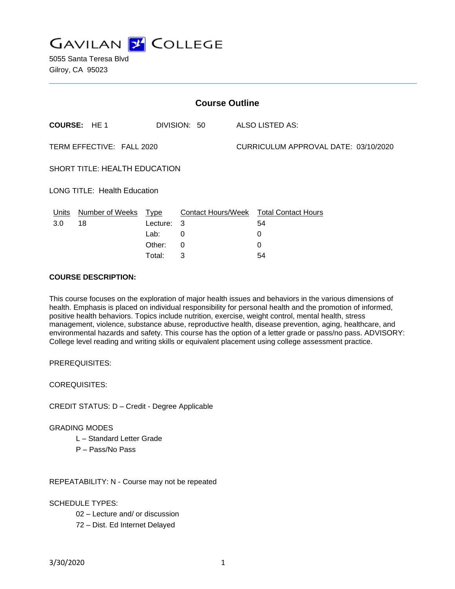**GAVILAN J COLLEGE** 

5055 Santa Teresa Blvd Gilroy, CA 95023

| <b>Course Outline</b>               |                      |                    |              |                                      |                                        |
|-------------------------------------|----------------------|--------------------|--------------|--------------------------------------|----------------------------------------|
|                                     | <b>COURSE: HE1</b>   |                    | DIVISION: 50 |                                      | <b>ALSO LISTED AS:</b>                 |
| TERM EFFECTIVE: FALL 2020           |                      |                    |              | CURRICULUM APPROVAL DATE: 03/10/2020 |                                        |
| SHORT TITLE: HEALTH EDUCATION       |                      |                    |              |                                      |                                        |
| <b>LONG TITLE: Health Education</b> |                      |                    |              |                                      |                                        |
| Units                               | Number of Weeks Type |                    |              |                                      | Contact Hours/Week Total Contact Hours |
| 3.0 <sub>2</sub>                    | 18                   | Lecture:           | 3            |                                      | 54                                     |
|                                     |                      | Lab:               | 0            |                                      | 0                                      |
|                                     |                      | Other:             | 0            |                                      | 0                                      |
|                                     |                      | Total <sup>.</sup> | 3            |                                      | 54                                     |

#### **COURSE DESCRIPTION:**

This course focuses on the exploration of major health issues and behaviors in the various dimensions of health. Emphasis is placed on individual responsibility for personal health and the promotion of informed, positive health behaviors. Topics include nutrition, exercise, weight control, mental health, stress management, violence, substance abuse, reproductive health, disease prevention, aging, healthcare, and environmental hazards and safety. This course has the option of a letter grade or pass/no pass. ADVISORY: College level reading and writing skills or equivalent placement using college assessment practice.

PREREQUISITES:

COREQUISITES:

CREDIT STATUS: D – Credit - Degree Applicable

#### GRADING MODES

L – Standard Letter Grade

P – Pass/No Pass

REPEATABILITY: N - Course may not be repeated

SCHEDULE TYPES:

- 02 Lecture and/ or discussion
- 72 Dist. Ed Internet Delayed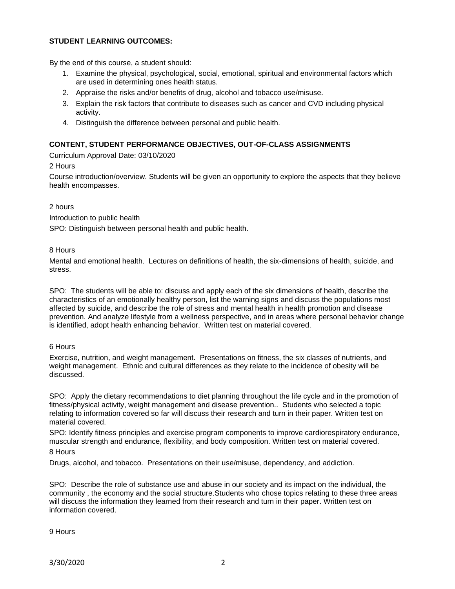## **STUDENT LEARNING OUTCOMES:**

By the end of this course, a student should:

- 1. Examine the physical, psychological, social, emotional, spiritual and environmental factors which are used in determining ones health status.
- 2. Appraise the risks and/or benefits of drug, alcohol and tobacco use/misuse.
- 3. Explain the risk factors that contribute to diseases such as cancer and CVD including physical activity.
- 4. Distinguish the difference between personal and public health.

## **CONTENT, STUDENT PERFORMANCE OBJECTIVES, OUT-OF-CLASS ASSIGNMENTS**

Curriculum Approval Date: 03/10/2020

### 2 Hours

Course introduction/overview. Students will be given an opportunity to explore the aspects that they believe health encompasses.

#### 2 hours

Introduction to public health

SPO: Distinguish between personal health and public health.

### 8 Hours

Mental and emotional health. Lectures on definitions of health, the six-dimensions of health, suicide, and stress.

SPO: The students will be able to: discuss and apply each of the six dimensions of health, describe the characteristics of an emotionally healthy person, list the warning signs and discuss the populations most affected by suicide, and describe the role of stress and mental health in health promotion and disease prevention. And analyze lifestyle from a wellness perspective, and in areas where personal behavior change is identified, adopt health enhancing behavior. Written test on material covered.

#### 6 Hours

Exercise, nutrition, and weight management. Presentations on fitness, the six classes of nutrients, and weight management. Ethnic and cultural differences as they relate to the incidence of obesity will be discussed.

SPO: Apply the dietary recommendations to diet planning throughout the life cycle and in the promotion of fitness/physical activity, weight management and disease prevention.. Students who selected a topic relating to information covered so far will discuss their research and turn in their paper. Written test on material covered.

SPO: Identify fitness principles and exercise program components to improve cardiorespiratory endurance, muscular strength and endurance, flexibility, and body composition. Written test on material covered. 8 Hours

Drugs, alcohol, and tobacco. Presentations on their use/misuse, dependency, and addiction.

SPO: Describe the role of substance use and abuse in our society and its impact on the individual, the community , the economy and the social structure.Students who chose topics relating to these three areas will discuss the information they learned from their research and turn in their paper. Written test on information covered.

9 Hours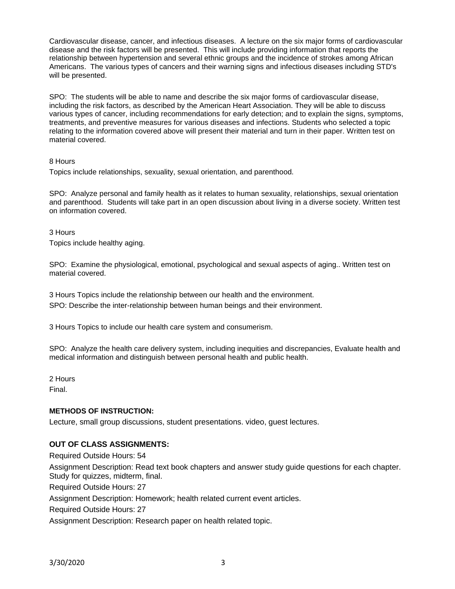Cardiovascular disease, cancer, and infectious diseases. A lecture on the six major forms of cardiovascular disease and the risk factors will be presented. This will include providing information that reports the relationship between hypertension and several ethnic groups and the incidence of strokes among African Americans. The various types of cancers and their warning signs and infectious diseases including STD's will be presented.

SPO: The students will be able to name and describe the six major forms of cardiovascular disease, including the risk factors, as described by the American Heart Association. They will be able to discuss various types of cancer, including recommendations for early detection; and to explain the signs, symptoms, treatments, and preventive measures for various diseases and infections. Students who selected a topic relating to the information covered above will present their material and turn in their paper. Written test on material covered.

## 8 Hours

Topics include relationships, sexuality, sexual orientation, and parenthood.

SPO: Analyze personal and family health as it relates to human sexuality, relationships, sexual orientation and parenthood. Students will take part in an open discussion about living in a diverse society. Written test on information covered.

3 Hours

Topics include healthy aging.

SPO: Examine the physiological, emotional, psychological and sexual aspects of aging.. Written test on material covered.

3 Hours Topics include the relationship between our health and the environment. SPO: Describe the inter-relationship between human beings and their environment.

3 Hours Topics to include our health care system and consumerism.

SPO: Analyze the health care delivery system, including inequities and discrepancies, Evaluate health and medical information and distinguish between personal health and public health.

2 Hours

Final.

## **METHODS OF INSTRUCTION:**

Lecture, small group discussions, student presentations. video, guest lectures.

# **OUT OF CLASS ASSIGNMENTS:**

Required Outside Hours: 54

Assignment Description: Read text book chapters and answer study guide questions for each chapter. Study for quizzes, midterm, final.

Required Outside Hours: 27

Assignment Description: Homework; health related current event articles.

Required Outside Hours: 27

Assignment Description: Research paper on health related topic.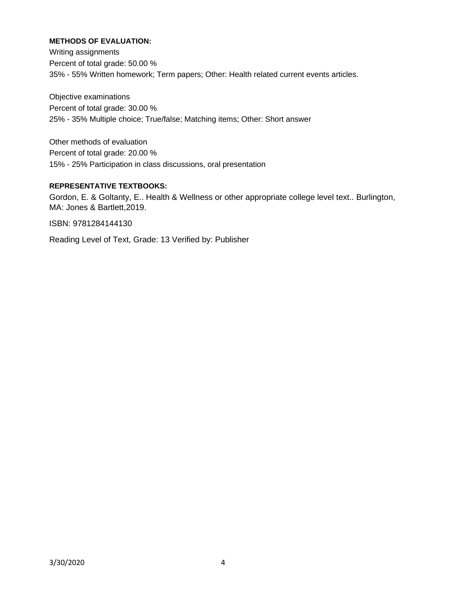# **METHODS OF EVALUATION:**

Writing assignments Percent of total grade: 50.00 % 35% - 55% Written homework; Term papers; Other: Health related current events articles.

Objective examinations Percent of total grade: 30.00 % 25% - 35% Multiple choice; True/false; Matching items; Other: Short answer

Other methods of evaluation Percent of total grade: 20.00 % 15% - 25% Participation in class discussions, oral presentation

# **REPRESENTATIVE TEXTBOOKS:**

Gordon, E. & Goltanty, E.. Health & Wellness or other appropriate college level text.. Burlington, MA: Jones & Bartlett,2019.

ISBN: 9781284144130

Reading Level of Text, Grade: 13 Verified by: Publisher